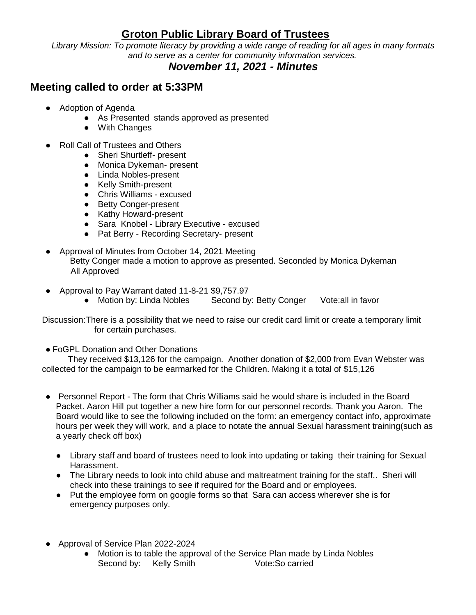## **Groton Public Library Board of Trustees**

*Library Mission: To promote literacy by providing a wide range of reading for all ages in many formats and to serve as a center for community information services.*

## *November 11, 2021 - Minutes*

## **Meeting called to order at 5:33PM**

- Adoption of Agenda
	- As Presented stands approved as presented
	- With Changes
- Roll Call of Trustees and Others
	- Sheri Shurtleff- present
	- Monica Dykeman- present
	- Linda Nobles-present
	- Kelly Smith-present
	- Chris Williams excused
	- Betty Conger-present
	- Kathy Howard-present
	- Sara Knobel Library Executive excused
	- Pat Berry Recording Secretary- present
- Approval of Minutes from October 14, 2021 Meeting Betty Conger made a motion to approve as presented. Seconded by Monica Dykeman All Approved
- Approval to Pay Warrant dated 11-8-21 \$9,757.97<br>• Motion by: Linda Nobles Second by
	- Second by: Betty Conger Vote:all in favor

Discussion:There is a possibility that we need to raise our credit card limit or create a temporary limit for certain purchases.

• FoGPL Donation and Other Donations

 They received \$13,126 for the campaign. Another donation of \$2,000 from Evan Webster was collected for the campaign to be earmarked for the Children. Making it a total of \$15,126

- Personnel Report The form that Chris Williams said he would share is included in the Board Packet. Aaron Hill put together a new hire form for our personnel records. Thank you Aaron. The Board would like to see the following included on the form: an emergency contact info, approximate hours per week they will work, and a place to notate the annual Sexual harassment training(such as a yearly check off box)
	- Library staff and board of trustees need to look into updating or taking their training for Sexual Harassment.
	- The Library needs to look into child abuse and maltreatment training for the staff.. Sheri will check into these trainings to see if required for the Board and or employees.
	- Put the employee form on google forms so that Sara can access wherever she is for emergency purposes only.
- Approval of Service Plan 2022-2024
	- Motion is to table the approval of the Service Plan made by Linda Nobles Second by: Kelly Smith Vote:So carried